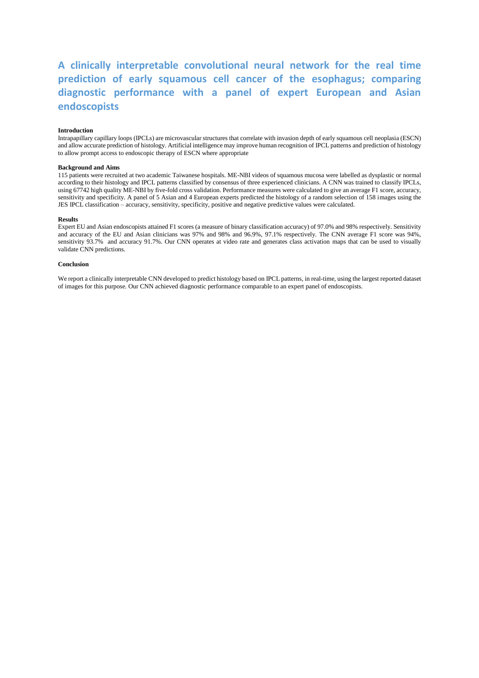# **A clinically interpretable convolutional neural network for the real time prediction of early squamous cell cancer of the esophagus; comparing diagnostic performance with a panel of expert European and Asian endoscopists**

#### **Introduction**

Intrapapillary capillary loops (IPCLs) are microvascular structures that correlate with invasion depth of early squamous cell neoplasia (ESCN) and allow accurate prediction of histology. Artificial intelligence may improve human recognition of IPCL patterns and prediction of histology to allow prompt access to endoscopic therapy of ESCN where appropriate

#### **Background and Aims**

115 patients were recruited at two academic Taiwanese hospitals. ME-NBI videos of squamous mucosa were labelled as dysplastic or normal according to their histology and IPCL patterns classified by consensus of three experienced clinicians. A CNN was trained to classify IPCLs, using 67742 high quality ME-NBI by five-fold cross validation. Performance measures were calculated to give an average F1 score, accuracy, sensitivity and specificity. A panel of 5 Asian and 4 European experts predicted the histology of a random selection of 158 images using the JES IPCL classification – accuracy, sensitivity, specificity, positive and negative predictive values were calculated.

#### **Results**

Expert EU and Asian endoscopists attained F1 scores (a measure of binary classification accuracy) of 97.0% and 98% respectively. Sensitivity and accuracy of the EU and Asian clinicians was 97% and 98% and 96.9%, 97.1% respectively. The CNN average F1 score was 94%, sensitivity 93.7% and accuracy 91.7%. Our CNN operates at video rate and generates class activation maps that can be used to visually validate CNN predictions.

#### **Conclusion**

We report a clinically interpretable CNN developed to predict histology based on IPCL patterns, in real-time, using the largest reported dataset of images for this purpose. Our CNN achieved diagnostic performance comparable to an expert panel of endoscopists.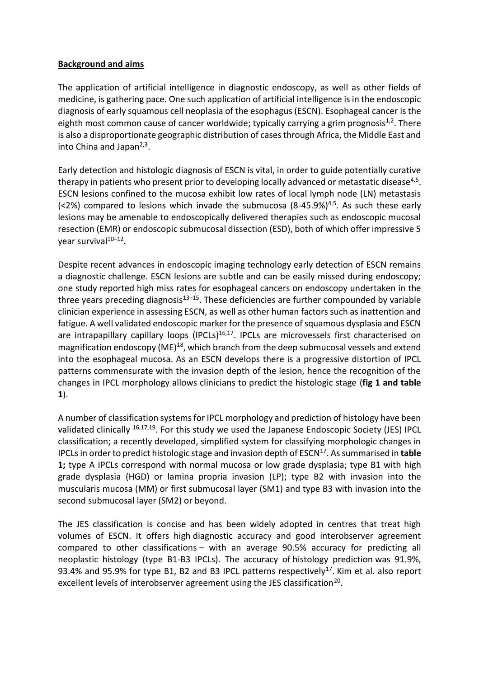# **Background and aims**

The application of artificial intelligence in diagnostic endoscopy, as well as other fields of medicine, is gathering pace. One such application of artificial intelligence is in the endoscopic diagnosis of early squamous cell neoplasia of the esophagus (ESCN). Esophageal cancer is the eighth most common cause of cancer worldwide; typically carrying a grim prognosis<sup>1,2</sup>. There is also a disproportionate geographic distribution of cases through Africa, the Middle East and into China and Japan<sup>2,3</sup>.

Early detection and histologic diagnosis of ESCN is vital, in order to guide potentially curative therapy in patients who present prior to developing locally advanced or metastatic disease<sup>4,5</sup>. ESCN lesions confined to the mucosa exhibit low rates of local lymph node (LN) metastasis (<2%) compared to lesions which invade the submucosa  $(8-45.9\%)^{4,5}$ . As such these early lesions may be amenable to endoscopically delivered therapies such as endoscopic mucosal resection (EMR) or endoscopic submucosal dissection (ESD), both of which offer impressive 5 year survival<sup>10–12</sup>.

Despite recent advances in endoscopic imaging technology early detection of ESCN remains a diagnostic challenge. ESCN lesions are subtle and can be easily missed during endoscopy; one study reported high miss rates for esophageal cancers on endoscopy undertaken in the three years preceding diagnosis $13-15$ . These deficiencies are further compounded by variable clinician experience in assessing ESCN, as well as other human factors such as inattention and fatigue. A well validated endoscopic marker for the presence of squamous dysplasia and ESCN are intrapapillary capillary loops (IPCLs)<sup>16,17</sup>. IPCLs are microvessels first characterised on magnification endoscopy (ME) $^{18}$ , which branch from the deep submucosal vessels and extend into the esophageal mucosa. As an ESCN develops there is a progressive distortion of IPCL patterns commensurate with the invasion depth of the lesion, hence the recognition of the changes in IPCL morphology allows clinicians to predict the histologic stage (**fig 1 and table 1**).

A number of classification systems for IPCL morphology and prediction of histology have been validated clinically 16,17,19. For this study we used the Japanese Endoscopic Society (JES) IPCL classification; a recently developed, simplified system for classifying morphologic changes in IPCLs in order to predict histologic stage and invasion depth of ESCN<sup>17</sup>. As summarised in **table 1;** type A IPCLs correspond with normal mucosa or low grade dysplasia; type B1 with high grade dysplasia (HGD) or lamina propria invasion (LP); type B2 with invasion into the muscularis mucosa (MM) or first submucosal layer (SM1) and type B3 with invasion into the second submucosal layer (SM2) or beyond.

The JES classification is concise and has been widely adopted in centres that treat high volumes of ESCN. It offers high diagnostic accuracy and good interobserver agreement compared to other classifications – with an average 90.5% accuracy for predicting all neoplastic histology (type B1-B3 IPCLs). The accuracy of histology prediction was 91.9%, 93.4% and 95.9% for type B1, B2 and B3 IPCL patterns respectively<sup>17</sup>. Kim et al. also report excellent levels of interobserver agreement using the JES classification<sup>20</sup>.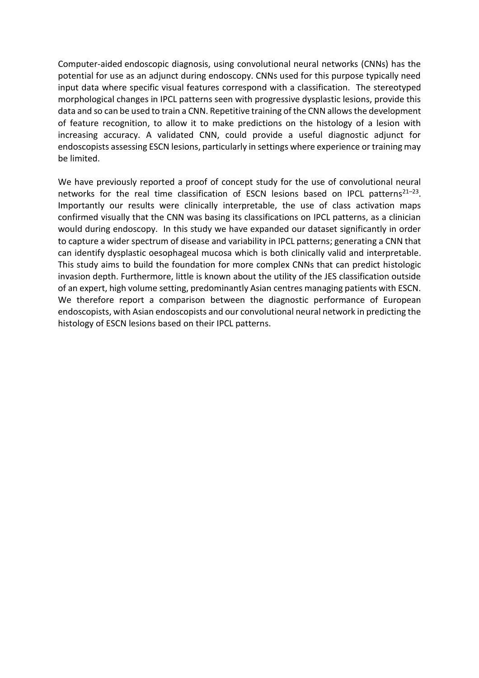Computer-aided endoscopic diagnosis, using convolutional neural networks (CNNs) has the potential for use as an adjunct during endoscopy. CNNs used for this purpose typically need input data where specific visual features correspond with a classification. The stereotyped morphological changes in IPCL patterns seen with progressive dysplastic lesions, provide this data and so can be used to train a CNN. Repetitive training of the CNN allowsthe development of feature recognition, to allow it to make predictions on the histology of a lesion with increasing accuracy. A validated CNN, could provide a useful diagnostic adjunct for endoscopists assessing ESCN lesions, particularly in settings where experience or training may be limited.

We have previously reported a proof of concept study for the use of convolutional neural networks for the real time classification of ESCN lesions based on IPCL patterns<sup>21–23</sup>. Importantly our results were clinically interpretable, the use of class activation maps confirmed visually that the CNN was basing its classifications on IPCL patterns, as a clinician would during endoscopy. In this study we have expanded our dataset significantly in order to capture a wider spectrum of disease and variability in IPCL patterns; generating a CNN that can identify dysplastic oesophageal mucosa which is both clinically valid and interpretable. This study aims to build the foundation for more complex CNNs that can predict histologic invasion depth. Furthermore, little is known about the utility of the JES classification outside of an expert, high volume setting, predominantly Asian centres managing patients with ESCN. We therefore report a comparison between the diagnostic performance of European endoscopists, with Asian endoscopists and our convolutional neural network in predicting the histology of ESCN lesions based on their IPCL patterns.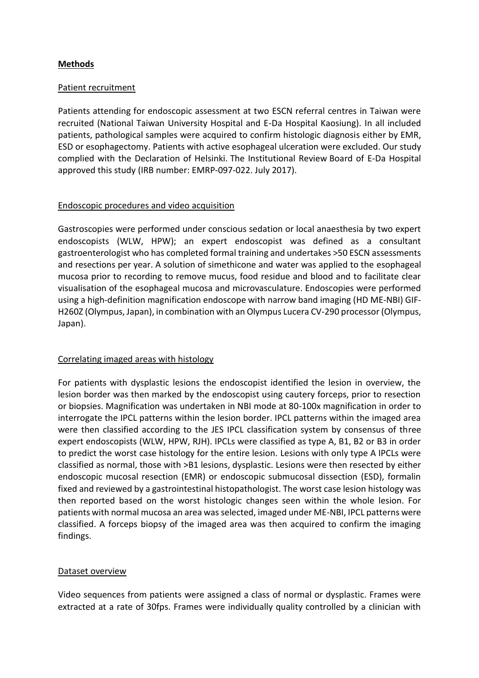## **Methods**

#### Patient recruitment

Patients attending for endoscopic assessment at two ESCN referral centres in Taiwan were recruited (National Taiwan University Hospital and E-Da Hospital Kaosiung). In all included patients, pathological samples were acquired to confirm histologic diagnosis either by EMR, ESD or esophagectomy. Patients with active esophageal ulceration were excluded. Our study complied with the Declaration of Helsinki. The Institutional Review Board of E-Da Hospital approved this study (IRB number: EMRP-097-022. July 2017).

### Endoscopic procedures and video acquisition

Gastroscopies were performed under conscious sedation or local anaesthesia by two expert endoscopists (WLW, HPW); an expert endoscopist was defined as a consultant gastroenterologist who has completed formal training and undertakes >50 ESCN assessments and resections per year. A solution of simethicone and water was applied to the esophageal mucosa prior to recording to remove mucus, food residue and blood and to facilitate clear visualisation of the esophageal mucosa and microvasculature. Endoscopies were performed using a high-definition magnification endoscope with narrow band imaging (HD ME-NBI) GIF-H260Z (Olympus, Japan), in combination with an Olympus Lucera CV-290 processor (Olympus, Japan).

#### Correlating imaged areas with histology

For patients with dysplastic lesions the endoscopist identified the lesion in overview, the lesion border was then marked by the endoscopist using cautery forceps, prior to resection or biopsies. Magnification was undertaken in NBI mode at 80-100x magnification in order to interrogate the IPCL patterns within the lesion border. IPCL patterns within the imaged area were then classified according to the JES IPCL classification system by consensus of three expert endoscopists (WLW, HPW, RJH). IPCLs were classified as type A, B1, B2 or B3 in order to predict the worst case histology for the entire lesion. Lesions with only type A IPCLs were classified as normal, those with >B1 lesions, dysplastic. Lesions were then resected by either endoscopic mucosal resection (EMR) or endoscopic submucosal dissection (ESD), formalin fixed and reviewed by a gastrointestinal histopathologist. The worst case lesion histology was then reported based on the worst histologic changes seen within the whole lesion. For patients with normal mucosa an area was selected, imaged under ME-NBI, IPCL patterns were classified. A forceps biopsy of the imaged area was then acquired to confirm the imaging findings.

# Dataset overview

Video sequences from patients were assigned a class of normal or dysplastic. Frames were extracted at a rate of 30fps. Frames were individually quality controlled by a clinician with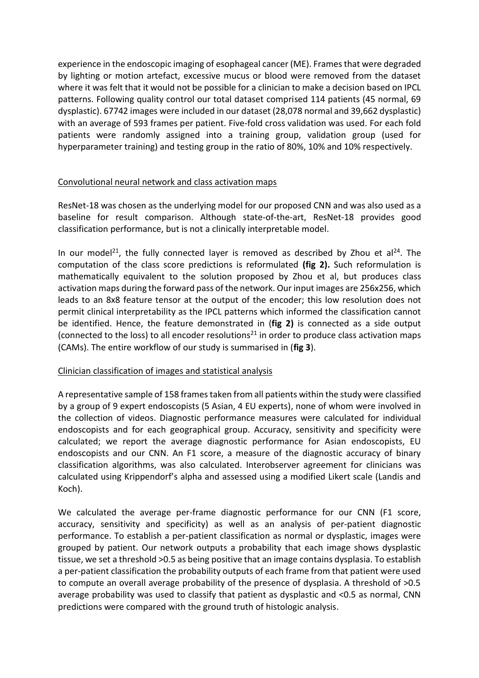experience in the endoscopic imaging of esophageal cancer (ME). Frames that were degraded by lighting or motion artefact, excessive mucus or blood were removed from the dataset where it was felt that it would not be possible for a clinician to make a decision based on IPCL patterns. Following quality control our total dataset comprised 114 patients (45 normal, 69 dysplastic). 67742 images were included in our dataset (28,078 normal and 39,662 dysplastic) with an average of 593 frames per patient. Five-fold cross validation was used. For each fold patients were randomly assigned into a training group, validation group (used for hyperparameter training) and testing group in the ratio of 80%, 10% and 10% respectively.

# Convolutional neural network and class activation maps

ResNet-18 was chosen as the underlying model for our proposed CNN and was also used as a baseline for result comparison. Although state-of-the-art, ResNet-18 provides good classification performance, but is not a clinically interpretable model.

In our model<sup>21</sup>, the fully connected layer is removed as described by Zhou et al<sup>24</sup>. The computation of the class score predictions is reformulated **(fig 2).** Such reformulation is mathematically equivalent to the solution proposed by Zhou et al, but produces class activation maps during the forward pass of the network. Our input images are 256x256, which leads to an 8x8 feature tensor at the output of the encoder; this low resolution does not permit clinical interpretability as the IPCL patterns which informed the classification cannot be identified. Hence, the feature demonstrated in (**fig 2)** is connected as a side output (connected to the loss) to all encoder resolutions<sup>21</sup> in order to produce class activation maps (CAMs). The entire workflow of our study is summarised in (**fig 3**).

#### Clinician classification of images and statistical analysis

A representative sample of 158 frames taken from all patients within the study were classified by a group of 9 expert endoscopists (5 Asian, 4 EU experts), none of whom were involved in the collection of videos. Diagnostic performance measures were calculated for individual endoscopists and for each geographical group. Accuracy, sensitivity and specificity were calculated; we report the average diagnostic performance for Asian endoscopists, EU endoscopists and our CNN. An F1 score, a measure of the diagnostic accuracy of binary classification algorithms, was also calculated. Interobserver agreement for clinicians was calculated using Krippendorf's alpha and assessed using a modified Likert scale (Landis and Koch).

We calculated the average per-frame diagnostic performance for our CNN (F1 score, accuracy, sensitivity and specificity) as well as an analysis of per-patient diagnostic performance. To establish a per-patient classification as normal or dysplastic, images were grouped by patient. Our network outputs a probability that each image shows dysplastic tissue, we set a threshold >0.5 as being positive that an image contains dysplasia. To establish a per-patient classification the probability outputs of each frame from that patient were used to compute an overall average probability of the presence of dysplasia. A threshold of >0.5 average probability was used to classify that patient as dysplastic and <0.5 as normal, CNN predictions were compared with the ground truth of histologic analysis.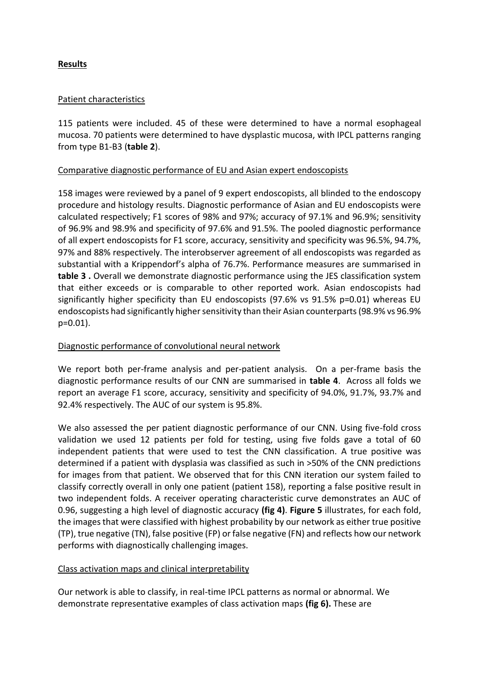# **Results**

### Patient characteristics

115 patients were included. 45 of these were determined to have a normal esophageal mucosa. 70 patients were determined to have dysplastic mucosa, with IPCL patterns ranging from type B1-B3 (**table 2**).

### Comparative diagnostic performance of EU and Asian expert endoscopists

158 images were reviewed by a panel of 9 expert endoscopists, all blinded to the endoscopy procedure and histology results. Diagnostic performance of Asian and EU endoscopists were calculated respectively; F1 scores of 98% and 97%; accuracy of 97.1% and 96.9%; sensitivity of 96.9% and 98.9% and specificity of 97.6% and 91.5%. The pooled diagnostic performance of all expert endoscopists for F1 score, accuracy, sensitivity and specificity was 96.5%, 94.7%, 97% and 88% respectively. The interobserver agreement of all endoscopists was regarded as substantial with a Krippendorf's alpha of 76.7%. Performance measures are summarised in **table 3 .** Overall we demonstrate diagnostic performance using the JES classification system that either exceeds or is comparable to other reported work. Asian endoscopists had significantly higher specificity than EU endoscopists (97.6% vs 91.5% p=0.01) whereas EU endoscopists had significantly higher sensitivity than their Asian counterparts (98.9% vs 96.9% p=0.01).

# Diagnostic performance of convolutional neural network

We report both per-frame analysis and per-patient analysis. On a per-frame basis the diagnostic performance results of our CNN are summarised in **table 4**. Across all folds we report an average F1 score, accuracy, sensitivity and specificity of 94.0%, 91.7%, 93.7% and 92.4% respectively. The AUC of our system is 95.8%.

We also assessed the per patient diagnostic performance of our CNN. Using five-fold cross validation we used 12 patients per fold for testing, using five folds gave a total of 60 independent patients that were used to test the CNN classification. A true positive was determined if a patient with dysplasia was classified as such in >50% of the CNN predictions for images from that patient. We observed that for this CNN iteration our system failed to classify correctly overall in only one patient (patient 158), reporting a false positive result in two independent folds. A receiver operating characteristic curve demonstrates an AUC of 0.96, suggesting a high level of diagnostic accuracy **(fig 4)**. **Figure 5** illustrates, for each fold, the images that were classified with highest probability by our network as either true positive (TP), true negative (TN), false positive (FP) or false negative (FN) and reflects how our network performs with diagnostically challenging images.

# Class activation maps and clinical interpretability

Our network is able to classify, in real-time IPCL patterns as normal or abnormal. We demonstrate representative examples of class activation maps **(fig 6).** These are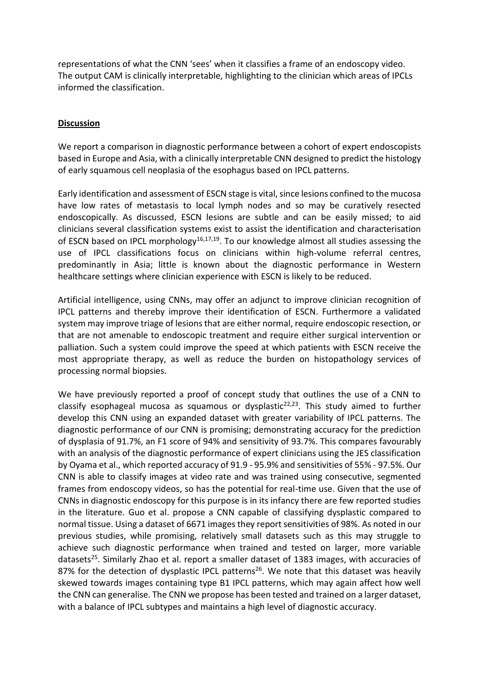representations of what the CNN 'sees' when it classifies a frame of an endoscopy video. The output CAM is clinically interpretable, highlighting to the clinician which areas of IPCLs informed the classification.

#### **Discussion**

We report a comparison in diagnostic performance between a cohort of expert endoscopists based in Europe and Asia, with a clinically interpretable CNN designed to predict the histology of early squamous cell neoplasia of the esophagus based on IPCL patterns.

Early identification and assessment of ESCN stage is vital, since lesions confined to the mucosa have low rates of metastasis to local lymph nodes and so may be curatively resected endoscopically. As discussed, ESCN lesions are subtle and can be easily missed; to aid clinicians several classification systems exist to assist the identification and characterisation of ESCN based on IPCL morphology<sup>16,17,19</sup>. To our knowledge almost all studies assessing the use of IPCL classifications focus on clinicians within high-volume referral centres, predominantly in Asia; little is known about the diagnostic performance in Western healthcare settings where clinician experience with ESCN is likely to be reduced.

Artificial intelligence, using CNNs, may offer an adjunct to improve clinician recognition of IPCL patterns and thereby improve their identification of ESCN. Furthermore a validated system may improve triage of lesions that are either normal, require endoscopic resection, or that are not amenable to endoscopic treatment and require either surgical intervention or palliation. Such a system could improve the speed at which patients with ESCN receive the most appropriate therapy, as well as reduce the burden on histopathology services of processing normal biopsies.

We have previously reported a proof of concept study that outlines the use of a CNN to classify esophageal mucosa as squamous or dysplastic<sup>22,23</sup>. This study aimed to further develop this CNN using an expanded dataset with greater variability of IPCL patterns. The diagnostic performance of our CNN is promising; demonstrating accuracy for the prediction of dysplasia of 91.7%, an F1 score of 94% and sensitivity of 93.7%. This compares favourably with an analysis of the diagnostic performance of expert clinicians using the JES classification by Oyama et al., which reported accuracy of 91.9 - 95.9% and sensitivities of 55% - 97.5%. Our CNN is able to classify images at video rate and was trained using consecutive, segmented frames from endoscopy videos, so has the potential for real-time use. Given that the use of CNNs in diagnostic endoscopy for this purpose is in its infancy there are few reported studies in the literature. Guo et al. propose a CNN capable of classifying dysplastic compared to normal tissue. Using a dataset of 6671 images they report sensitivities of 98%. As noted in our previous studies, while promising, relatively small datasets such as this may struggle to achieve such diagnostic performance when trained and tested on larger, more variable datasets<sup>25</sup>. Similarly Zhao et al. report a smaller dataset of 1383 images, with accuracies of 87% for the detection of dysplastic IPCL patterns<sup>26</sup>. We note that this dataset was heavily skewed towards images containing type B1 IPCL patterns, which may again affect how well the CNN can generalise. The CNN we propose has been tested and trained on a larger dataset, with a balance of IPCL subtypes and maintains a high level of diagnostic accuracy.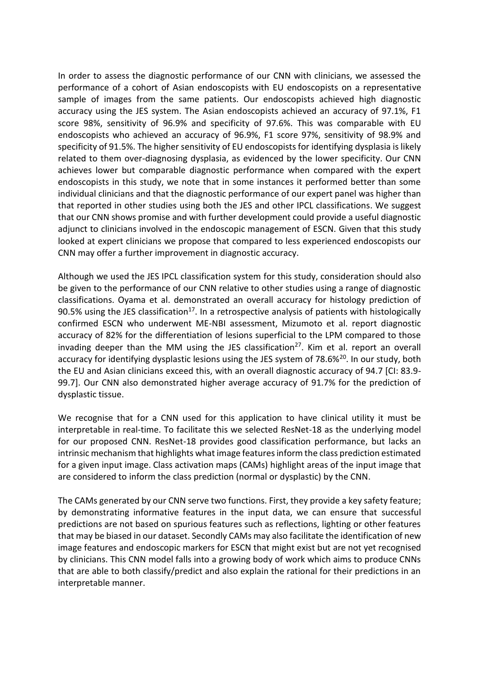In order to assess the diagnostic performance of our CNN with clinicians, we assessed the performance of a cohort of Asian endoscopists with EU endoscopists on a representative sample of images from the same patients. Our endoscopists achieved high diagnostic accuracy using the JES system. The Asian endoscopists achieved an accuracy of 97.1%, F1 score 98%, sensitivity of 96.9% and specificity of 97.6%. This was comparable with EU endoscopists who achieved an accuracy of 96.9%, F1 score 97%, sensitivity of 98.9% and specificity of 91.5%. The higher sensitivity of EU endoscopists for identifying dysplasia is likely related to them over-diagnosing dysplasia, as evidenced by the lower specificity. Our CNN achieves lower but comparable diagnostic performance when compared with the expert endoscopists in this study, we note that in some instances it performed better than some individual clinicians and that the diagnostic performance of our expert panel was higher than that reported in other studies using both the JES and other IPCL classifications. We suggest that our CNN shows promise and with further development could provide a useful diagnostic adjunct to clinicians involved in the endoscopic management of ESCN. Given that this study looked at expert clinicians we propose that compared to less experienced endoscopists our CNN may offer a further improvement in diagnostic accuracy.

Although we used the JES IPCL classification system for this study, consideration should also be given to the performance of our CNN relative to other studies using a range of diagnostic classifications. Oyama et al. demonstrated an overall accuracy for histology prediction of 90.5% using the JES classification<sup>17</sup>. In a retrospective analysis of patients with histologically confirmed ESCN who underwent ME-NBI assessment, Mizumoto et al. report diagnostic accuracy of 82% for the differentiation of lesions superficial to the LPM compared to those invading deeper than the MM using the JES classification<sup>27</sup>. Kim et al. report an overall accuracy for identifying dysplastic lesions using the JES system of 78.6%<sup>20</sup>. In our study, both the EU and Asian clinicians exceed this, with an overall diagnostic accuracy of 94.7 [CI: 83.9- 99.7]. Our CNN also demonstrated higher average accuracy of 91.7% for the prediction of dysplastic tissue.

We recognise that for a CNN used for this application to have clinical utility it must be interpretable in real-time. To facilitate this we selected ResNet-18 as the underlying model for our proposed CNN. ResNet-18 provides good classification performance, but lacks an intrinsic mechanism that highlights what image features inform the class prediction estimated for a given input image. Class activation maps (CAMs) highlight areas of the input image that are considered to inform the class prediction (normal or dysplastic) by the CNN.

The CAMs generated by our CNN serve two functions. First, they provide a key safety feature; by demonstrating informative features in the input data, we can ensure that successful predictions are not based on spurious features such as reflections, lighting or other features that may be biased in our dataset. Secondly CAMs may also facilitate the identification of new image features and endoscopic markers for ESCN that might exist but are not yet recognised by clinicians. This CNN model falls into a growing body of work which aims to produce CNNs that are able to both classify/predict and also explain the rational for their predictions in an interpretable manner.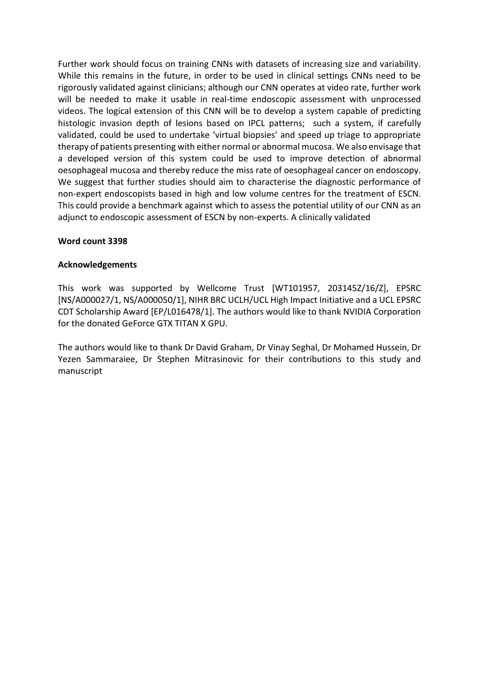Further work should focus on training CNNs with datasets of increasing size and variability. While this remains in the future, in order to be used in clinical settings CNNs need to be rigorously validated against clinicians; although our CNN operates at video rate, further work will be needed to make it usable in real-time endoscopic assessment with unprocessed videos. The logical extension of this CNN will be to develop a system capable of predicting histologic invasion depth of lesions based on IPCL patterns; such a system, if carefully validated, could be used to undertake 'virtual biopsies' and speed up triage to appropriate therapy of patients presenting with either normal or abnormal mucosa. We also envisage that a developed version of this system could be used to improve detection of abnormal oesophageal mucosa and thereby reduce the miss rate of oesophageal cancer on endoscopy. We suggest that further studies should aim to characterise the diagnostic performance of non-expert endoscopists based in high and low volume centres for the treatment of ESCN. This could provide a benchmark against which to assess the potential utility of our CNN as an adjunct to endoscopic assessment of ESCN by non-experts. A clinically validated

### **Word count 3398**

#### **Acknowledgements**

This work was supported by Wellcome Trust [WT101957, 203145Z/16/Z], EPSRC [NS/A000027/1, NS/A000050/1], NIHR BRC UCLH/UCL High Impact Initiative and a UCL EPSRC CDT Scholarship Award [EP/L016478/1]. The authors would like to thank NVIDIA Corporation for the donated GeForce GTX TITAN X GPU.

The authors would like to thank Dr David Graham, Dr Vinay Seghal, Dr Mohamed Hussein, Dr Yezen Sammaraiee, Dr Stephen Mitrasinovic for their contributions to this study and manuscript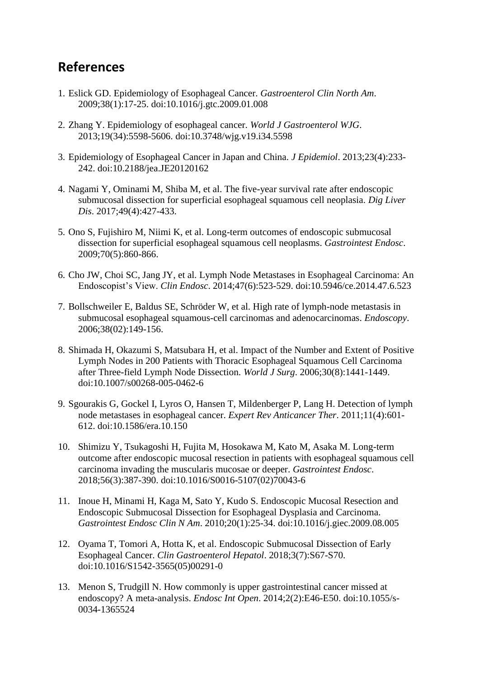# **References**

- 1. Eslick GD. Epidemiology of Esophageal Cancer. *Gastroenterol Clin North Am*. 2009;38(1):17-25. doi:10.1016/j.gtc.2009.01.008
- 2. Zhang Y. Epidemiology of esophageal cancer. *World J Gastroenterol WJG*. 2013;19(34):5598-5606. doi:10.3748/wjg.v19.i34.5598
- 3. Epidemiology of Esophageal Cancer in Japan and China. *J Epidemiol*. 2013;23(4):233- 242. doi:10.2188/jea.JE20120162
- 4. Nagami Y, Ominami M, Shiba M, et al. The five-year survival rate after endoscopic submucosal dissection for superficial esophageal squamous cell neoplasia. *Dig Liver Dis*. 2017;49(4):427-433.
- 5. Ono S, Fujishiro M, Niimi K, et al. Long-term outcomes of endoscopic submucosal dissection for superficial esophageal squamous cell neoplasms. *Gastrointest Endosc*. 2009;70(5):860-866.
- 6. Cho JW, Choi SC, Jang JY, et al. Lymph Node Metastases in Esophageal Carcinoma: An Endoscopist's View. *Clin Endosc*. 2014;47(6):523-529. doi:10.5946/ce.2014.47.6.523
- 7. Bollschweiler E, Baldus SE, Schröder W, et al. High rate of lymph-node metastasis in submucosal esophageal squamous-cell carcinomas and adenocarcinomas. *Endoscopy*. 2006;38(02):149-156.
- 8. Shimada H, Okazumi S, Matsubara H, et al. Impact of the Number and Extent of Positive Lymph Nodes in 200 Patients with Thoracic Esophageal Squamous Cell Carcinoma after Three-field Lymph Node Dissection. *World J Surg*. 2006;30(8):1441-1449. doi:10.1007/s00268-005-0462-6
- 9. Sgourakis G, Gockel I, Lyros O, Hansen T, Mildenberger P, Lang H. Detection of lymph node metastases in esophageal cancer. *Expert Rev Anticancer Ther*. 2011;11(4):601- 612. doi:10.1586/era.10.150
- 10. Shimizu Y, Tsukagoshi H, Fujita M, Hosokawa M, Kato M, Asaka M. Long-term outcome after endoscopic mucosal resection in patients with esophageal squamous cell carcinoma invading the muscularis mucosae or deeper. *Gastrointest Endosc*. 2018;56(3):387-390. doi:10.1016/S0016-5107(02)70043-6
- 11. Inoue H, Minami H, Kaga M, Sato Y, Kudo S. Endoscopic Mucosal Resection and Endoscopic Submucosal Dissection for Esophageal Dysplasia and Carcinoma. *Gastrointest Endosc Clin N Am*. 2010;20(1):25-34. doi:10.1016/j.giec.2009.08.005
- 12. Oyama T, Tomori A, Hotta K, et al. Endoscopic Submucosal Dissection of Early Esophageal Cancer. *Clin Gastroenterol Hepatol*. 2018;3(7):S67-S70. doi:10.1016/S1542-3565(05)00291-0
- 13. Menon S, Trudgill N. How commonly is upper gastrointestinal cancer missed at endoscopy? A meta-analysis. *Endosc Int Open*. 2014;2(2):E46-E50. doi:10.1055/s-0034-1365524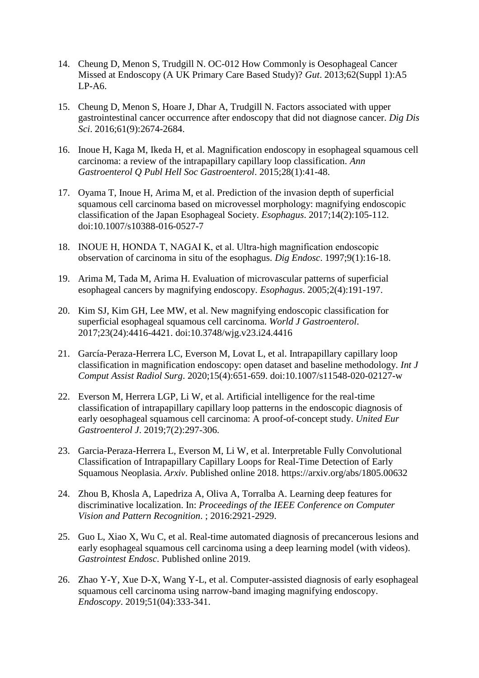- 14. Cheung D, Menon S, Trudgill N. OC-012 How Commonly is Oesophageal Cancer Missed at Endoscopy (A UK Primary Care Based Study)? *Gut*. 2013;62(Suppl 1):A5 LP-A6.
- 15. Cheung D, Menon S, Hoare J, Dhar A, Trudgill N. Factors associated with upper gastrointestinal cancer occurrence after endoscopy that did not diagnose cancer. *Dig Dis Sci*. 2016;61(9):2674-2684.
- 16. Inoue H, Kaga M, Ikeda H, et al. Magnification endoscopy in esophageal squamous cell carcinoma: a review of the intrapapillary capillary loop classification. *Ann Gastroenterol Q Publ Hell Soc Gastroenterol*. 2015;28(1):41-48.
- 17. Oyama T, Inoue H, Arima M, et al. Prediction of the invasion depth of superficial squamous cell carcinoma based on microvessel morphology: magnifying endoscopic classification of the Japan Esophageal Society. *Esophagus*. 2017;14(2):105-112. doi:10.1007/s10388-016-0527-7
- 18. INOUE H, HONDA T, NAGAI K, et al. Ultra-high magnification endoscopic observation of carcinoma in situ of the esophagus. *Dig Endosc*. 1997;9(1):16-18.
- 19. Arima M, Tada M, Arima H. Evaluation of microvascular patterns of superficial esophageal cancers by magnifying endoscopy. *Esophagus*. 2005;2(4):191-197.
- 20. Kim SJ, Kim GH, Lee MW, et al. New magnifying endoscopic classification for superficial esophageal squamous cell carcinoma. *World J Gastroenterol*. 2017;23(24):4416-4421. doi:10.3748/wjg.v23.i24.4416
- 21. García-Peraza-Herrera LC, Everson M, Lovat L, et al. Intrapapillary capillary loop classification in magnification endoscopy: open dataset and baseline methodology. *Int J Comput Assist Radiol Surg*. 2020;15(4):651-659. doi:10.1007/s11548-020-02127-w
- 22. Everson M, Herrera LGP, Li W, et al. Artificial intelligence for the real-time classification of intrapapillary capillary loop patterns in the endoscopic diagnosis of early oesophageal squamous cell carcinoma: A proof-of-concept study. *United Eur Gastroenterol J*. 2019;7(2):297-306.
- 23. Garcia-Peraza-Herrera L, Everson M, Li W, et al. Interpretable Fully Convolutional Classification of Intrapapillary Capillary Loops for Real-Time Detection of Early Squamous Neoplasia. *Arxiv*. Published online 2018. https://arxiv.org/abs/1805.00632
- 24. Zhou B, Khosla A, Lapedriza A, Oliva A, Torralba A. Learning deep features for discriminative localization. In: *Proceedings of the IEEE Conference on Computer Vision and Pattern Recognition*. ; 2016:2921-2929.
- 25. Guo L, Xiao X, Wu C, et al. Real-time automated diagnosis of precancerous lesions and early esophageal squamous cell carcinoma using a deep learning model (with videos). *Gastrointest Endosc*. Published online 2019.
- 26. Zhao Y-Y, Xue D-X, Wang Y-L, et al. Computer-assisted diagnosis of early esophageal squamous cell carcinoma using narrow-band imaging magnifying endoscopy. *Endoscopy*. 2019;51(04):333-341.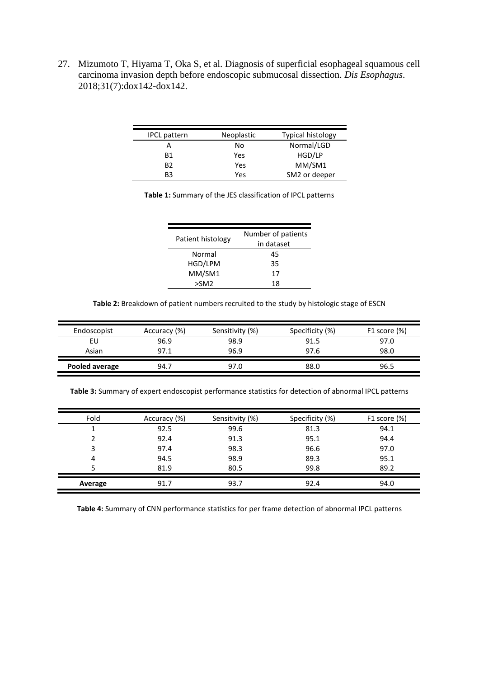27. Mizumoto T, Hiyama T, Oka S, et al. Diagnosis of superficial esophageal squamous cell carcinoma invasion depth before endoscopic submucosal dissection. *Dis Esophagus*. 2018;31(7):dox142-dox142.

| <b>IPCL</b> pattern | <b>Neoplastic</b> | <b>Typical histology</b> |
|---------------------|-------------------|--------------------------|
|                     | No                | Normal/LGD               |
| <b>B1</b>           | Yes               | HGD/LP                   |
| B <sub>2</sub>      | Yes               | MM/SM1                   |
| B3                  | Yes               | SM2 or deeper            |

| Patient histology | Number of patients<br>in dataset |  |
|-------------------|----------------------------------|--|
| Normal            | 45                               |  |
| HGD/LPM           | 35                               |  |
| MM/SM1            | 17                               |  |
| >SM2              | 18                               |  |

**Table 2:** Breakdown of patient numbers recruited to the study by histologic stage of ESCN

| Endoscopist    | Accuracy (%) | Sensitivity (%) | Specificity (%) | F1 score $(\%)$ |
|----------------|--------------|-----------------|-----------------|-----------------|
| EU             | 96.9         | 98.9            | 91.5            | 97.0            |
| Asian          | 97.1         | 96.9            | 97.6            | 98.0            |
| Pooled average | 94.7         | 97.0            | 88.0            | 96.5            |

**Table 3:** Summary of expert endoscopist performance statistics for detection of abnormal IPCL patterns

| Fold    | Accuracy (%) | Sensitivity (%) | Specificity (%) | F1 score (%) |
|---------|--------------|-----------------|-----------------|--------------|
|         | 92.5         | 99.6            | 81.3            | 94.1         |
|         | 92.4         | 91.3            | 95.1            | 94.4         |
| 3       | 97.4         | 98.3            | 96.6            | 97.0         |
| 4       | 94.5         | 98.9            | 89.3            | 95.1         |
|         | 81.9         | 80.5            | 99.8            | 89.2         |
| Average | 91.7         | 93.7            | 92.4            | 94.0         |

**Table 4:** Summary of CNN performance statistics for per frame detection of abnormal IPCL patterns